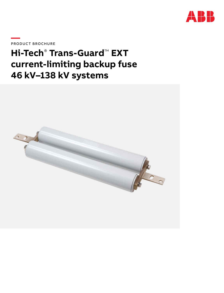

**—**PRODUCT BROCHURE

# **Hi-Tech**®  **Trans-Guard**™ **EXT current-limiting backup fuse 46 kV–138 kV systems**

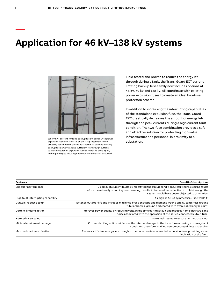# **Application for 46 kV–138 kV systems**



138 kV EXT current-limiting backup fuse in series with power expulsion fuse offers state-of-the-art protection. When properly coordinated, the Trans-Guard EXT current-limiting backup fuse always allows sufficient let-through current to cause the power expulsion fuse to melt and drop open, making it easy to visually pinpoint where the fault occurred.

Field tested and proven to reduce the energy letthrough during a fault, the Trans-Guard EXT currentlimiting backup fuse family now includes options at 46 kV, 69 kV and 138 kV. All coordinate with existing power explusion fuses to create an ideal two-fuse protection scheme.

In addition to increasing the interrupting capabilities of the standalone expulsion fuse, the Trans-Guard EXT drastically decreases the amount of energy letthrough and peak currents during a high current fault condition. The two-fuse combination provides a safe and effective solution for protecting high-value infrastructure and personnel in proximity to a substation.

| <b>Features</b>                    | <b>Benefits/descriptions</b>                                                                                                                                                                                                                               |
|------------------------------------|------------------------------------------------------------------------------------------------------------------------------------------------------------------------------------------------------------------------------------------------------------|
| Superior performance               | Clears high current faults by modifying the circuit conditions, resulting in clearing faults<br>before the naturally occurring zero crossing, results in tremendous reduction in $l^2$ t let-through the<br>system would have been subjected to otherwise. |
| High fault interrupting capability | As high as 50 kA symmetrical. (see Table 1)                                                                                                                                                                                                                |
| Durable, robust design             | Extends outdoor life and includes machined brass endcaps and filament-wound epoxy, centerless ground<br>tubular bodies, ground and coated with oven-baked acrylic paint.                                                                                   |
| Current-limiting action            | Improves power quality by reducing voltage dip time during a fault and reduces flame discharge and<br>noise associated with the operation of the series-connected cutout fuse.                                                                             |
| Hermetically sealed                | 100% leak tested to ensure hermetic sealing.                                                                                                                                                                                                               |
| Minimal equipment damage           | Current-limiting action minimizes the internal damage to the transformer during a primary fault<br>condition; therefore, making equipment repair less expensive.                                                                                           |
| Matched-melt coordination          | Ensures sufficient energy let-through to melt open series-connected expulsion fuse, providing visual<br>indication of the fault.                                                                                                                           |

**—**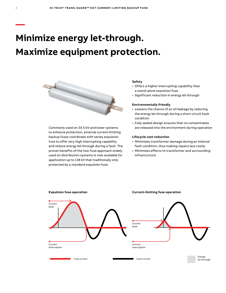# **Minimize energy let-through. Maximize equipment protection.**



Commonly used on 34.5 kV and lower systems to enhance protection, external current-limiting backup fuses coordinate with series expulsion fuse to offer very high interrupting capability and reduce energy let-through during a fault. The proven benefits of the two-fuse approach widely used on distribution systems is now available for application up to 138 kV that traditionally only protected by a standard expulsion fuse.

#### **Safety**

- Offers a higher interrupting capability than a stand-alone expulsion fuse
- Significant reduction in energy let-through

#### **Environmentally friendly**

- Lessens the chance of an oil leakage by reducing the energy let-through during a short circuit fault condition
- Fully sealed design ensures that no contaminates are released into the environment during operation

#### **Lifecycle cost reduction**

- Minimizes transformer damage during an internal fault condition, thus making repairs less costly
- Minimizes effects to transformer and surrounding infrastructure



**—**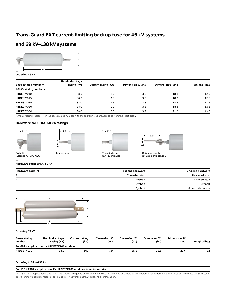## **Trans-Guard EXT current-limiting backup fuse for 46 kV systems**

### **and 69 kV–138 kV systems**



#### **Ordering 46 kV**

|                       | <b>Nominal voltage</b> |                     |                     |                     |               |
|-----------------------|------------------------|---------------------|---------------------|---------------------|---------------|
| Base catalog number*  | rating (kV)            | Current rating (kA) | Dimension 'A' (in.) | Dimension 'B' (in.) | Weight (lbs.) |
| 46 kV catalog numbers |                        |                     |                     |                     |               |
| HTDE37*010            | 38.0                   | 10                  | 3.3                 | 18.3                | 12.5          |
| HTDE37*015            | 38.0                   | 15                  | 3.3                 | 18.3                | 12.5          |
| HTDE37*025            | 38.0                   | 25                  | 3.3                 | 18.3                | 12.5          |
| HTDE37*030            | 38.0                   | 30                  | 3.3                 | 18.3                | 12.5          |
| HTDE37*050            | 38.0                   | 50                  | 3.3                 | 21.0                | 13.5          |

\*When ordering, replace (\*) in the base catalog number with the appropriate hardware code from the chart below.

#### **Hardware for 10 kA–50 kA ratings**







(1 ⁄2" – 13 threads)



Universal adapter rotatable through 180˚

(accepts #8 – 2/0 AWG)

#### **— Hardware code: 10 kA–50 kA**

| Hardware code (*) | 1st end hardware | 2nd end hardware  |
|-------------------|------------------|-------------------|
| А                 | Threaded stud    | Threaded stud     |
| E.                | Eyebolt          | Knurled stud      |
| Е                 | Eyebolt          | Eyebolt           |
| U                 | Eyebolt          | Universal adapter |



#### **Ordering 69 kV**

**—**

| <b>Base catalog</b><br>number | Nominal voltage<br>rating (kV)              | <b>Current rating</b><br>(kA) | Dimension 'A'<br>(in.) | Dimension 'B'<br>(in.) | Dimension 'C'<br>(in.) | Dimension 'D'<br>(in.) | Weight (lbs.) |
|-------------------------------|---------------------------------------------|-------------------------------|------------------------|------------------------|------------------------|------------------------|---------------|
|                               | For 69 kV application: 1x HTDE37X100 module |                               |                        |                        |                        |                        |               |
| HTDE37X100                    | 38.0                                        | 100                           |                        | 25.1                   | 28.6                   | 29.6                   | 32            |

#### **— Ordering 115 kV–138 kV**

#### **For 115 / 138 kV application: 2x HTDE37X100 modules in series required**

For 115 / 138 kV applications, two (2) HTDE37X100 are required and ordered individually. The modules should be assembled in series during field installation. Reference the 69 kV table<br>above for individual dimensions of eac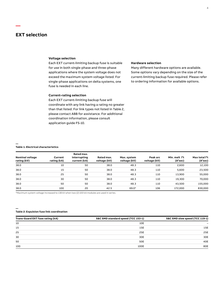### **EXT selection**

**—**

#### **Voltage selection**

Each EXT current-limiting backup fuse is suitable for use in both single-phase and three-phase applications where the system voltage does not exceed the maximum system voltage listed. For single-phase applications on delta systems, one fuse is needed in each line.

#### **Current-rating selection**

Each EXT current-limiting backup fuse will coordinate with any link having a rating no greater than that listed. For link types not listed in Table 2, please contact ABB for assistance. For additional coordination information, please consult application guide FS-10.

### **Hardware selection**

Many different hardware options are available. Some options vary depending on the size of the current-limiting backup fuse required. Please refer to ordering information for available options.

#### **Table 1: Electrical characteristics**

**—**

**—**

| <b>Nominal voltage</b><br>rating (kV) | Current<br>rating (kA) | Rated max.<br>interrupting<br>current (kA) | Rated max.<br>voltage (kV) | Max. system<br>voltage (kV) | Peak arc<br>voltage (kV) | Min. melt $l^2t$<br>$(A^2sec)$ | Max total l <sup>2</sup> t<br>(A <sup>2</sup> sec) |
|---------------------------------------|------------------------|--------------------------------------------|----------------------------|-----------------------------|--------------------------|--------------------------------|----------------------------------------------------|
| 38.0                                  | 10                     | 50                                         | 38.0                       | 48.3                        | 110                      | 2,600                          | 12,100                                             |
| 38.0                                  | 15                     | 50                                         | 38.0                       | 48.3                        | 110                      | 5,600                          | 23,500                                             |
| 38.0                                  | 25                     | 50                                         | 38.0                       | 48.3                        | 110                      | 13,900                         | 55,000                                             |
| 38.0                                  | 30                     | 50                                         | 38.0                       | 48.3                        | 110                      | 19,300                         | 70,000                                             |
| 38.0                                  | 50                     | 50                                         | 38.0                       | 48.3                        | 110                      | 43.500                         | 155,000                                            |
| 38.0                                  | 100                    | 20                                         | 42.5                       | 69.0*                       | 106                      | 172.000                        | 830,000                                            |

\*Maximum system voltage increased to 138 kV when two (2) 100 kA modules are used in series.

#### **Table 2: Expulsion fuse link coordination**

| Trans-Guard EXT fuse rating (kA) | S&C SMD standard speed (TCC 153-1) | S&C SMD slow speed (TCC 119-1) |
|----------------------------------|------------------------------------|--------------------------------|
| 10                               | 10E                                | -                              |
| 15                               | 15E                                | 15E                            |
| 25                               | 25E                                | 25E                            |
| 30                               | 30E                                | 30E                            |
| 50                               | 50E                                | 40E                            |
| 100                              | 100E                               | 80E                            |